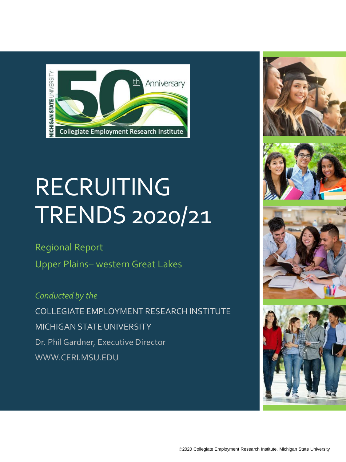

# RECRUITING TRENDS 2020/21

#### Regional Report

Upper Plains– western Great Lakes

*Conducted by the* COLLEGIATE EMPLOYMENT RESEARCH INSTITUTE MICHIGAN STATE UNIVERSITY Dr. Phil Gardner, Executive Director WWW.CERI.MSU.EDU







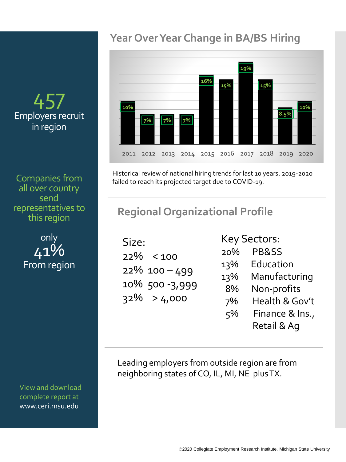# **Year Over Year Change in BA/BS Hiring**



Historical review of national hiring trends for last 10 years. 2019-2020 failed to reach its projected target due to COVID-19.

# **Regional Organizational Profile**

| Size: |                  |
|-------|------------------|
|       | $22\% < 100$     |
|       | $22\%$ 100 - 499 |
|       | 10% 500-3,999    |
|       | $32\% > 4,000$   |
|       |                  |

#### Key Sectors:

| 20% | PB&SS           |
|-----|-----------------|
| 13% | Education       |
| 13% | Manufacturing   |
| 8%  | Non-profits     |
| 7%  | Health & Gov't  |
| 5%  | Finance & Ins., |
|     | Retail & Aq     |

Leading employers from outside region are from neighboring states of CO, IL, MI, NE plus TX.

## 45 Employers recruit in region

Companies from all over country send representatives to this region

> only 41% From region

View and download complete report at www.ceri.msu.edu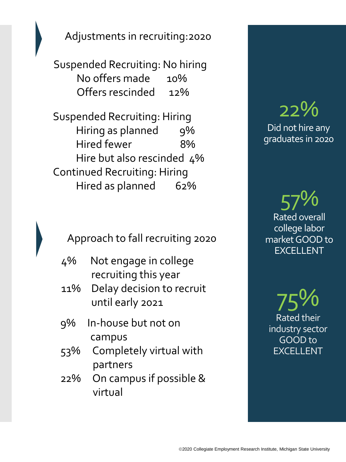Adjustments in recruiting:2020

Suspended Recruiting: No hiring No offers made 10% Offers rescinded 12%

Suspended Recruiting: Hiring Hiring as planned 9% Hired fewer 8% Hire but also rescinded 4% Continued Recruiting: Hiring Hired as planned 62%

Approach to fall recruiting 2020

- 4% Not engage in college recruiting this year
- 11% Delay decision to recruit until early 2021
- 9% In-house but not on campus
- 53% Completely virtual with partners
- 22% On campus if possible & virtual

# 22% Did not hire any graduates in 2020

57% Rated overall college labor market GOOD to EXCELLENT

75% Rated their industry sector GOOD to EXCELLENT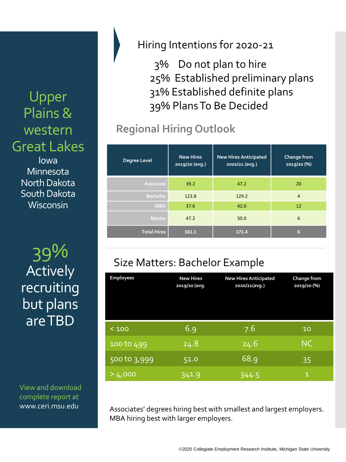Upper Plains & western Great Lakes Iowa Minnesota North Dakota South Dakota **Wisconsin** 

> 39% **Actively** recruiting but plans are TBD

View and download complete report at www.ceri.msu.edu

### Hiring Intentions for 2020-21

3% Do not plan to hire 25% Established preliminary plans 31% Established definite plans 39% Plans To Be Decided

# **Regional Hiring Outlook**

| Degree Level       | <b>New Hires</b><br>2019/20 (avg.) | <b>New Hires Anticipated</b><br>2020/21 (avg.) | Change from<br>2019/20 (%) |
|--------------------|------------------------------------|------------------------------------------------|----------------------------|
| Associate          | 39.2                               | 47.2                                           | 20                         |
| <b>Bachelor</b>    | 123.8                              | 129.2                                          | $\overline{4}$             |
| <b>MBA</b>         | 37.6                               | 42.0                                           | 12                         |
| <b>Master</b>      | 47.2                               | 50.0                                           | 6                          |
| <b>Total Hires</b> | 161.1                              | 171.4                                          | 6                          |

# Size Matters: Bachelor Example

| <b>Employees</b> | <b>New Hires</b><br>2019/20 (avg. | <b>New Hires Anticipated</b><br>2020/21(avg.) | Change from<br>2019/20 (%) |
|------------------|-----------------------------------|-----------------------------------------------|----------------------------|
| < 100            | 6.9                               | 7.6                                           | 10                         |
| 100 to 499       | 24.8                              | 24.6                                          | <b>NC</b>                  |
| 500 to 3,999     | 51.0                              | 68.9                                          | 35                         |
| > 4,000          | 341.9                             | 344.5                                         | 1                          |

Associates' degrees hiring best with smallest and largest employers. MBA hiring best with larger employers.